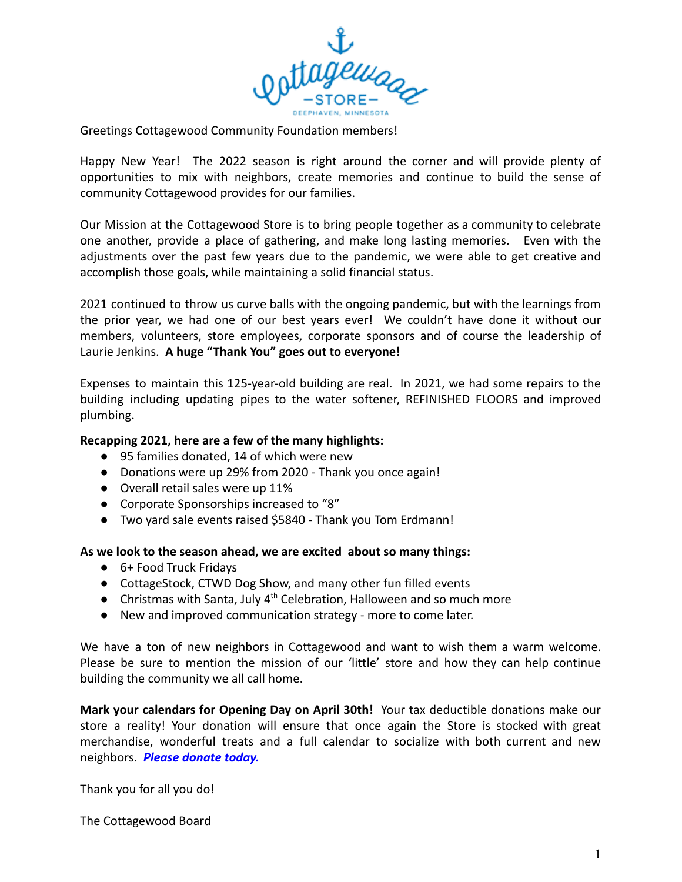

Greetings Cottagewood Community Foundation members!

Happy New Year! The 2022 season is right around the corner and will provide plenty of opportunities to mix with neighbors, create memories and continue to build the sense of community Cottagewood provides for our families.

Our Mission at the Cottagewood Store is to bring people together as a community to celebrate one another, provide a place of gathering, and make long lasting memories. Even with the adjustments over the past few years due to the pandemic, we were able to get creative and accomplish those goals, while maintaining a solid financial status.

2021 continued to throw us curve balls with the ongoing pandemic, but with the learnings from the prior year, we had one of our best years ever! We couldn't have done it without our members, volunteers, store employees, corporate sponsors and of course the leadership of Laurie Jenkins. **A huge "Thank You" goes out to everyone!**

Expenses to maintain this 125-year-old building are real. In 2021, we had some repairs to the building including updating pipes to the water softener, REFINISHED FLOORS and improved plumbing.

## **Recapping 2021, here are a few of the many highlights:**

- 95 families donated, 14 of which were new
- Donations were up 29% from 2020 Thank you once again!
- Overall retail sales were up 11%
- Corporate Sponsorships increased to "8"
- Two yard sale events raised \$5840 Thank you Tom Erdmann!

## **As we look to the season ahead, we are excited about so many things:**

- 6+ Food Truck Fridays
- CottageStock, CTWD Dog Show, and many other fun filled events
- Christmas with Santa, July 4<sup>th</sup> Celebration, Halloween and so much more
- New and improved communication strategy more to come later.

We have a ton of new neighbors in Cottagewood and want to wish them a warm welcome. Please be sure to mention the mission of our 'little' store and how they can help continue building the community we all call home.

**Mark your calendars for Opening Day on April 30th!** Your tax deductible donations make our store a reality! Your donation will ensure that once again the Store is stocked with great merchandise, wonderful treats and a full calendar to socialize with both current and new neighbors. *Please donate today.*

Thank you for all you do!

The Cottagewood Board